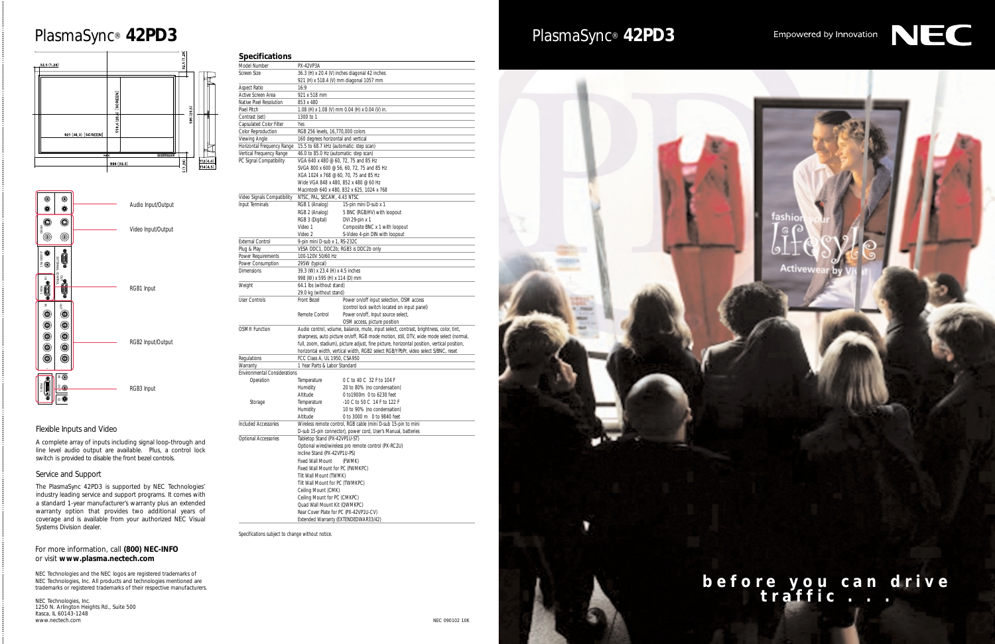# Empowered by Innovation



**Activew** 

### For more information, call **(800) NEC-INFO**  or visit **www.plasma.nectech.com**

NEC Technologies and the NEC logos are registered trademarks of NEC Technologies, Inc. All products and technologies mentioned are trademarks or registered trademarks of their respective manufacturers.

NEC Technologies, Inc. 1250 N. Arlington Heights Rd., Suite 500 Itasca, IL 60143-1248 www.nectech.com

#### **Specifications**

| Model Number                        | PX-42VP3A                                                                                   |                                                                                        |  |
|-------------------------------------|---------------------------------------------------------------------------------------------|----------------------------------------------------------------------------------------|--|
| Screen Size                         |                                                                                             | 36.3 (H) x 20.4 (V) inches diagonal 42 inches                                          |  |
|                                     | 921 (H) x 518.4 (V) mm diagonal 1057 mm                                                     |                                                                                        |  |
| Aspect Ratio                        | 16:9                                                                                        |                                                                                        |  |
| Active Screen Area                  | 921 x 518 mm                                                                                |                                                                                        |  |
| Native Pixel Resolution             | 853 x 480                                                                                   |                                                                                        |  |
| Pixel Pitch                         | 1.08 (H) x 1.08 (V) mm 0.04 (H) x 0.04 (V) in.                                              |                                                                                        |  |
| Contrast (set)                      | 1300 to 1                                                                                   |                                                                                        |  |
| Capsulated Color Filter             | Yes                                                                                         |                                                                                        |  |
| Color Reproduction                  | RGB 256 levels, 16,770,000 colors                                                           |                                                                                        |  |
| Viewing Angle                       | 160 degrees horizontal and vertical                                                         |                                                                                        |  |
| Horizontal Frequency Range          | 15.5 to 68.7 kHz (automatic: step scan)                                                     |                                                                                        |  |
| Vertical Frequency Range            | 46.0 to 85.0 Hz (automatic: step scan)                                                      |                                                                                        |  |
| PC Signal Compatibility             | VGA 640 x 480 @ 60, 72, 75 and 85 Hz                                                        |                                                                                        |  |
|                                     |                                                                                             | SVGA 800 x 600 @ 56, 60, 72, 75 and 85 Hz                                              |  |
|                                     | XGA 1024 x 768 @ 60, 70, 75 and 85 Hz                                                       |                                                                                        |  |
|                                     | Wide VGA 848 x 480, 852 x 480 @ 60 Hz                                                       |                                                                                        |  |
|                                     |                                                                                             | Macintosh 640 x 480, 832 x 625, 1024 x 768                                             |  |
| Video Signals Compatibility         | NTSC, PAL, SECAM, 4.43 NTSC                                                                 |                                                                                        |  |
| Input Terminals                     | RGB 1 (Analog)                                                                              | 15-pin mini D-sub x 1                                                                  |  |
|                                     | RGB 2 (Analog)                                                                              | 5 BNC (RGB/HV) with loopout                                                            |  |
|                                     | RGB 3 (Digital)                                                                             | DVI 29-pin x 1                                                                         |  |
|                                     | Video 1                                                                                     | Composite BNC x 1 with loopout                                                         |  |
|                                     | Video 2                                                                                     | S-Video 4-pin DIN with loopout                                                         |  |
| <b>External Control</b>             | 9-pin mini D-sub x 1, RS-232C                                                               |                                                                                        |  |
| Plug & Play                         | VESA DDC1, DDC2b; RGB3 is DDC2b only                                                        |                                                                                        |  |
| Power Requirements                  | 100-120V 50/60 Hz                                                                           |                                                                                        |  |
| Power Consumption                   | 295W (typical)                                                                              |                                                                                        |  |
| <b>Dimensions</b>                   | 39.3 (W) x 23.4 (H) x 4.5 inches                                                            |                                                                                        |  |
|                                     | 998 (W) x 595 (H) x 114 (D) mm                                                              |                                                                                        |  |
| Weight                              | 64.1 lbs (without stand)                                                                    |                                                                                        |  |
|                                     | 29.0 kg (without stand)                                                                     |                                                                                        |  |
| <b>User Controls</b>                | Front Bezel                                                                                 | Power on/off input selection, OSM access                                               |  |
|                                     |                                                                                             | (control lock switch located on input panel)                                           |  |
|                                     | Remote Control                                                                              | Power on/off, Input source select,                                                     |  |
|                                     |                                                                                             | OSM access, picture position                                                           |  |
| OSM <sup>®</sup> Function           |                                                                                             | Audio control, volume, balance, mute, input select, contrast, brightness, color, tint, |  |
|                                     | sharpness, auto picture on/off, RGB mode motion, still, DTV, wide mode select (normal,      |                                                                                        |  |
|                                     | full, zoom, stadium), picture adjust, fine picture, horizontal position, vertical position, |                                                                                        |  |
|                                     | horizontal width, vertical width, RGB2 select RGB/YPbPr, video select S/BNC, reset          |                                                                                        |  |
| Regulations                         | FCC Class A, UL 1950, CSA950                                                                |                                                                                        |  |
| Warranty                            | 1 Year Parts & Labor Standard                                                               |                                                                                        |  |
| <b>Environmental Considerations</b> |                                                                                             |                                                                                        |  |
| Operation                           | Temperature                                                                                 | 0 C to 40 C 32 F to 104 F                                                              |  |
|                                     | Humidity                                                                                    | 20 to 80% (no condensation)                                                            |  |
|                                     | Altitude                                                                                    | 0 to1900m 0 to 6230 feet                                                               |  |
| Storage                             | Temperature                                                                                 | -10 C to 50 C 14 F to 122 F                                                            |  |
|                                     | Humidity<br>10 to 90% (no condensation)                                                     |                                                                                        |  |
|                                     | Altitude                                                                                    | 0 to 3000 m 0 to 9840 feet                                                             |  |
| Included Accessories                |                                                                                             | Wireless remote control, RGB cable (mini D-sub 15-pin to mini                          |  |
|                                     |                                                                                             | D-sub 15-pin connector), power cord, User's Manual, batteries                          |  |
| Optional Accessories                | Tabletop Stand (PX-42VP1U-ST)                                                               |                                                                                        |  |
|                                     |                                                                                             |                                                                                        |  |
|                                     | Optional wired/wireless pro remote control (PX-RC2U)<br>Incline Stand (PX-42VP1U-PS)        |                                                                                        |  |
|                                     | Fixed Wall Mount                                                                            | (FWMK)                                                                                 |  |
|                                     | Fixed Wall Mount for PC (FWMKPC)                                                            |                                                                                        |  |
|                                     |                                                                                             |                                                                                        |  |
|                                     | Tilt Wall Mount (TWMK)                                                                      |                                                                                        |  |
|                                     | Tilt Wall Mount for PC (TWMKPC)                                                             |                                                                                        |  |
|                                     | Ceiling Mount (CMK)                                                                         |                                                                                        |  |
|                                     | Ceiling Mount for PC (CMKPC)                                                                |                                                                                        |  |
|                                     | Quad Wall Mount Kit (QWMKPC)                                                                |                                                                                        |  |
|                                     | Rear Cover Plate for PC (PX-42VP1U-CV)<br>Extended Warranty (EXTENDEDWAR33/42)              |                                                                                        |  |
|                                     |                                                                                             |                                                                                        |  |

Specifications subject to change without notice.



# PlasmaSync® **42PD3** PlasmaSync® **42PD3**



**before you can drive traffic . . .**

## Flexible Inputs and Video

A complete array of inputs including signal loop-through and line level audio output are available. Plus, a control lock switch is provided to disable the front bezel controls.

### Service and Support

The PlasmaSync 42PD3 is supported by NEC Technologies' industry leading service and support programs. It comes with a standard 1-year manufacturer's warranty plus an extended warranty option that provides two additional years of coverage and is available from your authorized NEC Visual